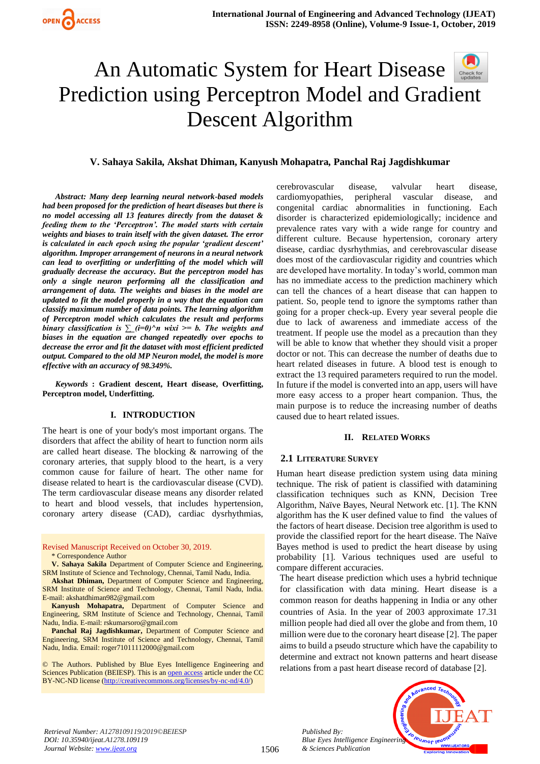

# An Automatic System for Heart Disease Check for<br>undates Prediction using Perceptron Model and Gradient Descent Algorithm

## **V. Sahaya Sakila***,* **Akshat Dhiman, Kanyush Mohapatra***,* **Panchal Raj Jagdishkumar**

*Abstract: Many deep learning neural network-based models had been proposed for the prediction of heart diseases but there is no model accessing all 13 features directly from the dataset & feeding them to the 'Perceptron'. The model starts with certain weights and biases to train itself with the given dataset. The error is calculated in each epoch using the popular 'gradient descent' algorithm. Improper arrangement of neurons in a neural network can lead to overfitting or underfitting of the model which will gradually decrease the accuracy. But the perceptron model has only a single neuron performing all the classification and arrangement of data. The weights and biases in the model are updated to fit the model properly in a way that the equation can classify maximum number of data points. The learning algorithm of Perceptron model which calculates the result and performs binary classification is*  $\sum$  (*i=0)*^*n wixi* >= *b. The weights and biases in the equation are changed repeatedly over epochs to decrease the error and fit the dataset with most efficient predicted output. Compared to the old MP Neuron model, the model is more effective with an accuracy of 98.349%.*

*Keywords* **: Gradient descent, Heart disease, Overfitting, Perceptron model, Underfitting.**

#### **I. INTRODUCTION**

The heart is one of your body's most important organs. The disorders that affect the ability of heart to function norm ails are called heart disease. The blocking & narrowing of the coronary arteries, that supply blood to the heart, is a very common cause for failure of heart. The other name for disease related to heart is the cardiovascular disease (CVD). The term cardiovascular disease means any disorder related to heart and blood vessels, that includes hypertension, coronary artery disease (CAD), cardiac dysrhythmias,

Revised Manuscript Received on October 30, 2019. \* Correspondence Author

**V. Sahaya Sakila** Department of Computer Science and Engineering, SRM Institute of Science and Technology, Chennai, Tamil Nadu, India.

**Akshat Dhiman,** Department of Computer Science and Engineering, SRM Institute of Science and Technology, Chennai, Tamil Nadu, India. E-mail: [akshatdhiman982@gmail.com](mailto:akshatdhiman982@gmail.com)

**Kanyush Mohapatra,** Department of Computer Science and Engineering, SRM Institute of Science and Technology, Chennai, Tamil Nadu, India. E-mail: rskumarsoro@gmail.com

**Panchal Raj Jagdishkumar,** Department of Computer Science and Engineering, SRM Institute of Science and Technology, Chennai, Tamil Nadu, India. Email: roger71011112000@gmail.com

© The Authors. Published by Blue Eyes Intelligence Engineering and Sciences Publication (BEIESP). This is a[n open access](https://www.openaccess.nl/en/open-publications) article under the CC BY-NC-ND license [\(http://creativecommons.org/licenses/by-nc-nd/4.0/\)](http://creativecommons.org/licenses/by-nc-nd/4.0/)

cerebrovascular disease, valvular heart disease, cardiomyopathies, peripheral vascular disease, and congenital cardiac abnormalities in functioning. Each disorder is characterized epidemiologically; incidence and prevalence rates vary with a wide range for country and different culture. Because hypertension, coronary artery disease, cardiac dysrhythmias, and cerebrovascular disease does most of the cardiovascular rigidity and countries which are developed have mortality. In today's world, common man has no immediate access to the prediction machinery which can tell the chances of a heart disease that can happen to patient. So, people tend to ignore the symptoms rather than going for a proper check-up. Every year several people die due to lack of awareness and immediate access of the treatment. If people use the model as a precaution than they will be able to know that whether they should visit a proper doctor or not. This can decrease the number of deaths due to heart related diseases in future. A blood test is enough to extract the 13 required parameters required to run the model. In future if the model is converted into an app, users will have more easy access to a proper heart companion. Thus, the main purpose is to reduce the increasing number of deaths caused due to heart related issues.

#### **II. RELATED WORKS**

#### **2.1 LITERATURE SURVEY**

Human heart disease prediction system using data mining technique. The risk of patient is classified with datamining classification techniques such as KNN, Decision Tree Algorithm, Naïve Bayes, Neural Network etc. [1]. The KNN algorithm has the K user defined value to find the values of the factors of heart disease. Decision tree algorithm is used to provide the classified report for the heart disease. The Naïve Bayes method is used to predict the heart disease by using probability [1]. Various techniques used are useful to compare different accuracies.

The heart disease prediction which uses a hybrid technique for classification with data mining. Heart disease is a common reason for deaths happening in India or any other countries of Asia. In the year of 2003 approximate 17.31 million people had died all over the globe and from them, 10 million were due to the coronary heart disease [2]. The paper aims to build a pseudo structure which have the capability to determine and extract not known patterns and heart disease relations from a past heart disease record of database [2].

*Retrieval Number: A1278109119/2019©BEIESP DOI: 10.35940/ijeat.A1278.109119 Journal Website[: www.ijeat.org](http://www.ijeat.org/)*

*Published By: Blue Eyes Intelligence Engineering & Sciences Publication* 

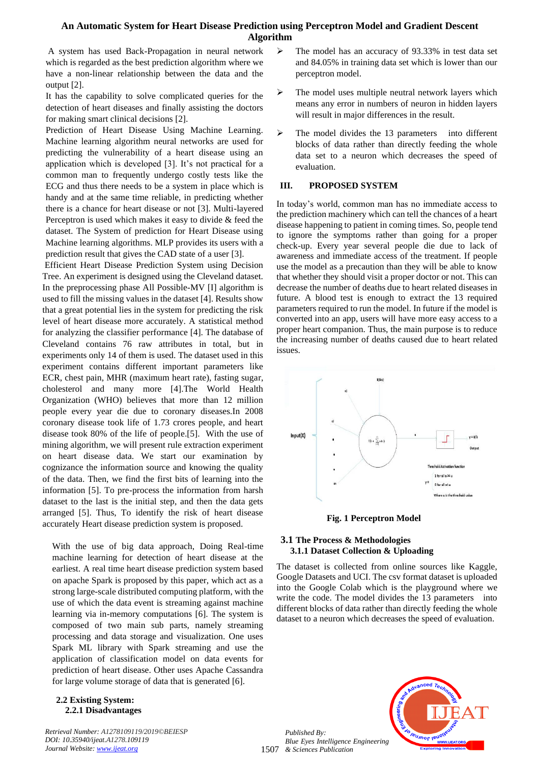# **An Automatic System for Heart Disease Prediction using Perceptron Model and Gradient Descent Algorithm**

A system has used Back-Propagation in neural network which is regarded as the best prediction algorithm where we have a non-linear relationship between the data and the output [2].

It has the capability to solve complicated queries for the detection of heart diseases and finally assisting the doctors for making smart clinical decisions [2].

Prediction of Heart Disease Using Machine Learning. Machine learning algorithm neural networks are used for predicting the vulnerability of a heart disease using an application which is developed [3]. It's not practical for a common man to frequently undergo costly tests like the ECG and thus there needs to be a system in place which is handy and at the same time reliable, in predicting whether there is a chance for heart disease or not [3]. Multi-layered Perceptron is used which makes it easy to divide & feed the dataset. The System of prediction for Heart Disease using Machine learning algorithms. MLP provides its users with a prediction result that gives the CAD state of a user [3].

Efficient Heart Disease Prediction System using Decision Tree. An experiment is designed using the Cleveland dataset. In the preprocessing phase All Possible-MV [I] algorithm is used to fill the missing values in the dataset [4]. Results show that a great potential lies in the system for predicting the risk level of heart disease more accurately. A statistical method for analyzing the classifier performance [4]. The database of Cleveland contains 76 raw attributes in total, but in experiments only 14 of them is used. The dataset used in this experiment contains different important parameters like ECR, chest pain, MHR (maximum heart rate), fasting sugar, cholesterol and many more [4].The World Health Organization (WHO) believes that more than 12 million people every year die due to coronary diseases.In 2008 coronary disease took life of 1.73 crores people, and heart disease took 80% of the life of people.[5]. With the use of mining algorithm, we will present rule extraction experiment on heart disease data. We start our examination by cognizance the information source and knowing the quality of the data. Then, we find the first bits of learning into the information [5]. To pre-process the information from harsh dataset to the last is the initial step, and then the data gets arranged [5]. Thus, To identify the risk of heart disease accurately Heart disease prediction system is proposed.

With the use of big data approach, Doing Real-time machine learning for detection of heart disease at the earliest. A real time heart disease prediction system based on apache Spark is proposed by this paper, which act as a strong large-scale distributed computing platform, with the use of which the data event is streaming against machine learning via in-memory computations [6]. The system is composed of two main sub parts, namely streaming processing and data storage and visualization. One uses Spark ML library with Spark streaming and use the application of classification model on data events for prediction of heart disease. Other uses Apache Cassandra for large volume storage of data that is generated [6].

## **2.2 Existing System: 2.2.1 Disadvantages**

*Retrieval Number: A1278109119/2019©BEIESP DOI: 10.35940/ijeat.A1278.109119 Journal Website[: www.ijeat.org](http://www.ijeat.org/)*

- ➢ The model has an accuracy of 93.33% in test data set and 84.05% in training data set which is lower than our perceptron model.
- $\triangleright$  The model uses multiple neutral network layers which means any error in numbers of neuron in hidden layers will result in major differences in the result.
- ➢ The model divides the 13 parameters into different blocks of data rather than directly feeding the whole data set to a neuron which decreases the speed of evaluation.

## **III. PROPOSED SYSTEM**

In today's world, common man has no immediate access to the prediction machinery which can tell the chances of a heart disease happening to patient in coming times. So, people tend to ignore the symptoms rather than going for a proper check-up. Every year several people die due to lack of awareness and immediate access of the treatment. If people use the model as a precaution than they will be able to know that whether they should visit a proper doctor or not. This can decrease the number of deaths due to heart related diseases in future. A blood test is enough to extract the 13 required parameters required to run the model. In future if the model is converted into an app, users will have more easy access to a proper heart companion. Thus, the main purpose is to reduce the increasing number of deaths caused due to heart related issues.



**Fig. 1 Perceptron Model**

## **3.1 The Process & Methodologies 3.1.1 Dataset Collection & Uploading**

The dataset is collected from online sources like Kaggle, Google Datasets and UCI. The csv format dataset is uploaded into the Google Colab which is the playground where we write the code. The model divides the 13 parameters into different blocks of data rather than directly feeding the whole dataset to a neuron which decreases the speed of evaluation.



1507 *& Sciences Publication Published By: Blue Eyes Intelligence Engineering*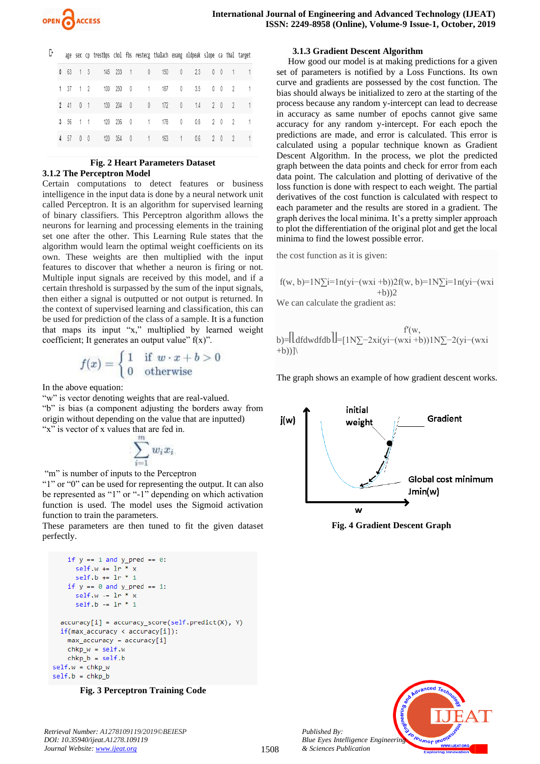B

|          |                | age sex cp trestbps chol fbs restecg thalach exang oldpeak slope ca thal target |           |              |     |                |                     |            |                |                          |   |
|----------|----------------|---------------------------------------------------------------------------------|-----------|--------------|-----|----------------|---------------------|------------|----------------|--------------------------|---|
| 0 63 1 3 |                |                                                                                 |           | 145 233 1 0  | 150 |                | $\mathbf{0}$<br>23  | $0\quad 0$ |                | $\sim$ 1                 |   |
| 1 37 1 2 |                |                                                                                 | 130 250   | $0 \qquad 1$ | 187 |                | $\mathbf{0}$        | 3.5 0 0    |                | - 2                      |   |
| 2 41 0 1 |                |                                                                                 |           | 130 204 0 0  | 172 | $\overline{0}$ | 1.4                 |            | 2 <sub>0</sub> | $\gamma$                 | 1 |
| 3, 56    | 1 1            |                                                                                 | 120 236 0 | $\sim$ 1     | 178 |                | $\mathbf{0}$<br>0.8 |            | 20             | $\overline{\phantom{a}}$ | 1 |
| 4 57     | 0 <sub>0</sub> |                                                                                 |           | 120 354 0 1  | 163 |                | 0.6<br>1            |            | 2 <sub>0</sub> | - 2                      | 1 |
|          |                |                                                                                 |           |              |     |                |                     |            |                |                          |   |

## **Fig. 2 Heart Parameters Dataset 3.1.2 The Perceptron Model**

Certain computations to detect features or business intelligence in the input data is done by a neural network unit called Perceptron. It is an algorithm for supervised learning of binary classifiers. This Perceptron algorithm allows the neurons for learning and processing elements in the training set one after the other. This Learning Rule states that the algorithm would learn the optimal weight coefficients on its own. These weights are then multiplied with the input features to discover that whether a neuron is firing or not. Multiple input signals are received by this model, and if a certain threshold is surpassed by the sum of the input signals, then either a signal is outputted or not output is returned. In the context of supervised learning and classification, this can be used for prediction of the class of a sample. It is a function that maps its input "x," multiplied by learned weight coefficient; It generates an output value"  $f(x)$ ".

$$
f(x) = \begin{cases} 1 & \text{if } w \cdot x + b > 0 \\ 0 & \text{otherwise} \end{cases}
$$

In the above equation:

"w" is vector denoting weights that are real-valued. "b" is bias (a component adjusting the borders away from origin without depending on the value that are inputted) "x" is vector of x values that are fed in.

$$
\sum_{i=1}^m w_i x_i
$$

"m" is number of inputs to the Perceptron

"1" or "0" can be used for representing the output. It can also be represented as "1" or "-1" depending on which activation function is used. The model uses the Sigmoid activation function to train the parameters.

These parameters are then tuned to fit the given dataset perfectly.

```
if y == 1 and y pred == 0:
  self.w += \ln * xself.b += 1r * 1if y == 0 and y pred == 1:
  self.w - 1r * xself.b -= 1r * 1accuracy[i] = accuracy score(self.predict(X), Y)if(max_accuracy < accuracy[i]):
max accuracy = accuracy[i]
chkp_w = self.wchkp_b = self.bself.w = chkp wself.b = chkp_b
```


# **3.1.3 Gradient Descent Algorithm**

How good our model is at making predictions for a given set of parameters is notified by a [Loss Functions.](https://ml-cheatsheet.readthedocs.io/en/latest/loss_functions.html#cost-function) Its own curve and gradients are possessed by the cost function. The bias should always be initialized to zero at the starting of the process because any random y-intercept can lead to decrease in accuracy as same number of epochs cannot give same accuracy for any random y-intercept. For each epoch the predictions are made, and error is calculated. This error is calculated using a popular technique known as Gradient Descent Algorithm. In the process, we plot the predicted graph between the data points and check for error from each data point. The calculation and plotting of derivative of the loss function is done with respect to each weight. The partial derivatives of the cost function is calculated with respect to each parameter and the results are stored in a gradient. The graph derives the local minima. It's a pretty simpler approach to plot the differentiation of the original plot and get the local minima to find the lowest possible error.

the cost function as it is given:

f(w, b)= $1N\sum_{i=1}^{n}$  n(yi−(wxi +b))2f(w, b)= $1N\sum_{i=1}^{n}$  n(yi−(wxi  $+h)$ ) $2$ We can calculate the gradient as:

 f′(w, b)=⎡⎣dfdwdfdb⎤⎦=[1N∑−2xi(yi−(wxi +b))1N∑−2(yi−(wxi +b))]\

The graph shows an example of how gradient descent works.







*Published By: Blue Eyes Intelligence Engineering & Sciences Publication*